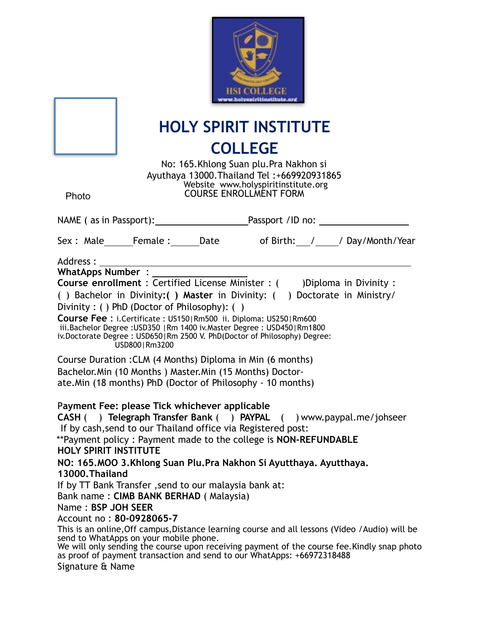

# **HOLY SPIRIT INSTITUTE COLLEGE**

No: 165.Khlong Suan plu.Pra Nakhon si Ayuthaya 13000.Thailand Tel :+669920931865 Website [www.holyspiritinstitute.org](http://www.holyspiritinstitute.org/) COURSE ENROLLMENT FORM

**Photo** 

NAME ( as in Passport): Passport /ID no:

Sex : Male Female : Date of Birth: / / Day/Month/Year

Address :

**WhatApps Number** :

**Course enrollment : Certified License Minister : ( )Diploma in Divinity :** ( ) Bachelor in Divinity**:( ) Master** in Divinity: ( ) Doctorate in Ministry/ Divinity : ( ) PhD (Doctor of Philosophy): ( ) **Course Fee** : i.Certificate : US150|Rm500 ii. Diploma: US250|Rm600

 iii.Bachelor Degree :USD350 |Rm 1400 iv.Master Degree : USD450|Rm1800 iv.Doctorate Degree : USD650|Rm 2500 V. PhD(Doctor of Philosophy) Degree:

USD800|Rm3200

Course Duration :CLM (4 Months) Diploma in Min (6 months) Bachelor.Min (10 Months ) Master.Min (15 Months) Doctorate.Min (18 months) PhD (Doctor of Philosophy - 10 months)

P**ayment Fee: please Tick whichever applicable** 

**CASH** ( ) **Telegraph Transfer Bank** ( ) **PAYPAL** ( ) [www.paypal.me/johseer](http://www.paypal.me/johseer) If by cash,send to our Thailand office via Registered post:

\*\*Payment policy : Payment made to the college is **NON-REFUNDABLE HOLY SPIRIT INSTITUTE** 

#### **NO: 165.MOO 3.Khlong Suan Plu.Pra Nakhon Si Ayutthaya. Ayutthaya. 13000.Thailand**

If by TT Bank Transfer ,send to our malaysia bank at:

Bank name : **CIMB BANK BERHAD** ( Malaysia)

### Name : **BSP JOH SEER**

### Account no : **80-0928065-7**

This is an online,Off campus,Distance learning course and all lessons (Video /Audio) will be send to WhatApps on your mobile phone.

We will only sending the course upon receiving payment of the course fee.Kindly snap photo as proof of payment transaction and send to our WhatApps: +66972318488 Signature & Name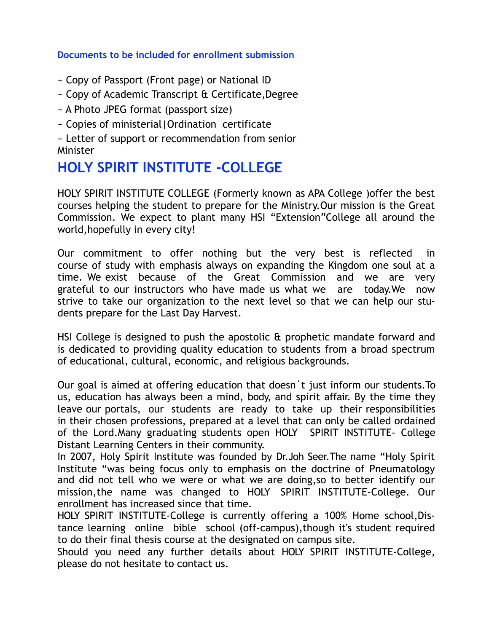#### **Documents to be included for enrollment submission**

- ~ Copy of Passport (Front page) or National ID
- ~ Copy of Academic Transcript & Certificate,Degree
- ~ A Photo JPEG format (passport size)
- ~ Copies of ministerial|Ordination certificate

~ Letter of support or recommendation from senior Minister

## **HOLY SPIRIT INSTITUTE -COLLEGE**

HOLY SPIRIT INSTITUTE COLLEGE (Formerly known as APA College )offer the best courses helping the student to prepare for the Ministry.Our mission is the Great Commission. We expect to plant many HSI "Extension"College all around the world,hopefully in every city!

Our commitment to offer nothing but the very best is reflected in course of study with emphasis always on expanding the Kingdom one soul at a time. We exist because of the Great Commission and we are very grateful to our instructors who have made us what we are today.We now strive to take our organization to the next level so that we can help our students prepare for the Last Day Harvest.

HSI College is designed to push the apostolic & prophetic mandate forward and is dedicated to providing quality education to students from a broad spectrum of educational, cultural, economic, and religious backgrounds.

Our goal is aimed at offering education that doesn´t just inform our students.To us, education has always been a mind, body, and spirit affair. By the time they leave our portals, our students are ready to take up their responsibilities in their chosen professions, prepared at a level that can only be called ordained of the Lord.Many graduating students open HOLY SPIRIT INSTITUTE- College Distant Learning Centers in their community.

In 2007, Holy Spirit Institute was founded by Dr.Joh Seer.The name "Holy Spirit Institute "was being focus only to emphasis on the doctrine of Pneumatology and did not tell who we were or what we are doing,so to better identify our mission,the name was changed to HOLY SPIRIT INSTITUTE-College. Our enrollment has increased since that time.

HOLY SPIRIT INSTITUTE-College is currently offering a 100% Home school,Distance learning online bible school (off-campus),though it's student required to do their final thesis course at the designated on campus site.

Should you need any further details about HOLY SPIRIT INSTITUTE-College, please do not hesitate to contact us.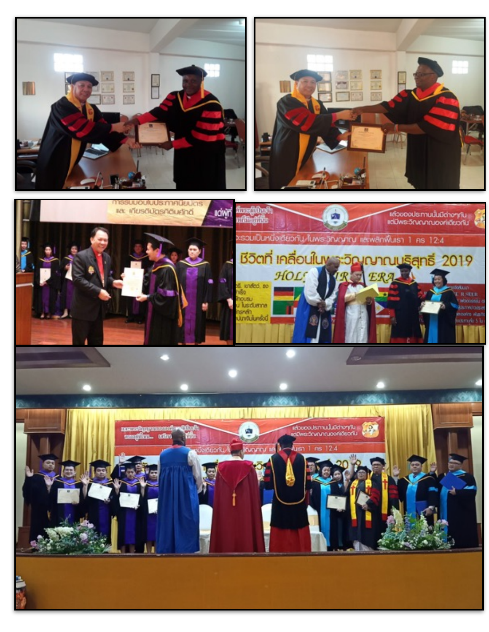